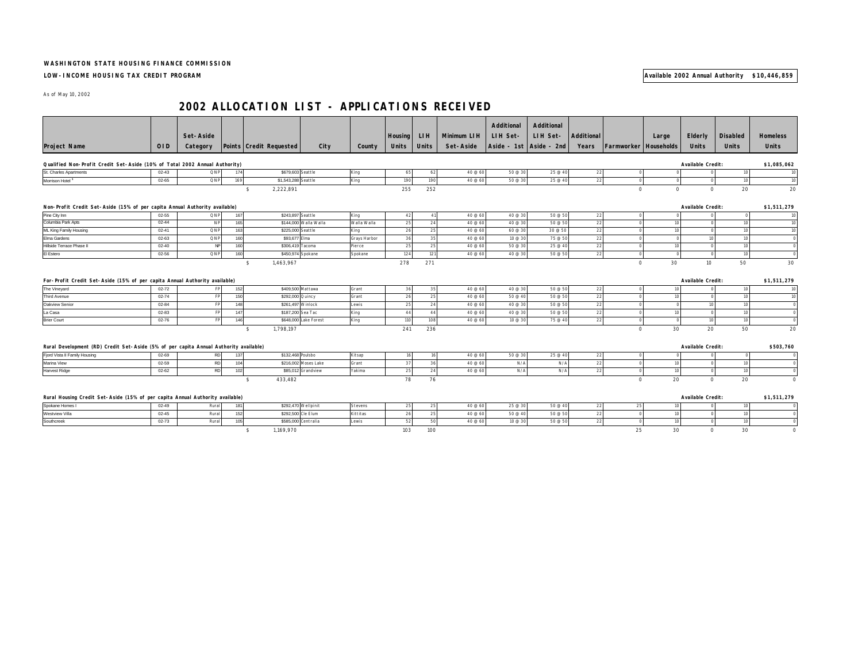## **WASHINGTON STATE HOUSING FINANCE COMMISSION**

## **LOW-INCOME HOUSING TAX CREDIT PROGRAM Available 2002 Annual Authority \$10,446,859**

As of May 10, 2002

## **2002 ALLOCATION LIST - APPLICATIONS RECEIVED**

|                                                                                                                |           |           |     |                                 |                       |              |                |              |             | Additional        | <b>Additional</b>       |             |                              |                  |                   |                 |                 |
|----------------------------------------------------------------------------------------------------------------|-----------|-----------|-----|---------------------------------|-----------------------|--------------|----------------|--------------|-------------|-------------------|-------------------------|-------------|------------------------------|------------------|-------------------|-----------------|-----------------|
|                                                                                                                |           |           |     |                                 |                       |              |                |              |             |                   |                         |             |                              |                  |                   |                 |                 |
|                                                                                                                |           | Set-Aside |     |                                 |                       |              | <b>Housing</b> | <b>LIH</b>   | Minimum LIH | LIH Set-          | LIH Set-                | Additional  |                              | Large            | Elderly           | <b>Disabled</b> | <b>Homeless</b> |
| <b>Project Name</b>                                                                                            | OID       | Category  |     | <b>Points Credit Requested</b>  | City                  | County       | <b>Units</b>   | <b>Units</b> | Set-Aside   |                   | Aside - 1st Aside - 2nd | Years       | <b>Farmworker Households</b> |                  | <b>Units</b>      | <b>Units</b>    | <b>Units</b>    |
| Qualified Non-Profit Credit Set-Aside (10% of Total 2002 Annual Authority)                                     |           |           |     |                                 |                       |              |                |              |             |                   |                         |             |                              |                  | Available Credit: |                 | \$1,085,062     |
| St. Charles Apartments                                                                                         | $02 - 43$ | QNP       | 174 | \$679,603 Seattle               |                       | King         | 65             | 62           | 40 @ 60     | 50 @ 30           | 25 @ 40                 | 22          |                              |                  |                   | 10              | 10              |
| Morrison Hotel <sup>1</sup>                                                                                    | $02 - 65$ | QNP       | 169 | \$1,543,288 Seattle             |                       | King         | 190            | 190          | 40 @ 60     | 50 @ 30           | 25 @ 40                 | 22          | $\Omega$                     | $\Omega$         | $\circ$           | 10              | 10              |
|                                                                                                                |           |           |     | \$<br>2,222,891                 |                       |              | 255            | 252          |             |                   |                         |             | $\Omega$                     | $\Omega$         | $\circ$           | 20              | 20              |
|                                                                                                                |           |           |     |                                 |                       |              |                |              |             |                   |                         |             |                              |                  |                   |                 |                 |
| Available Credit:<br>\$1,511,279<br>Non-Profit Credit Set-Aside (15% of per capita Annual Authority available) |           |           |     |                                 |                       |              |                |              |             |                   |                         |             |                              |                  |                   |                 |                 |
| Pine City Inn                                                                                                  | $02 - 55$ | QNP       | 167 | \$243,897 Seattle               |                       | King         | 42             | $\Delta$     | 40 @ 60     | 40 @ 30           | 50 @ 50                 | 22          |                              |                  |                   | $\Omega$        | 10              |
| Columbia Park Apts                                                                                             | $02 - 44$ | <b>NP</b> | 165 |                                 | \$144,000 Walla Walla | Walla Walla  | 25             | 24           | 40 @ 60     | 40 @ 30           | 50 @ 50                 | 22          |                              | 10               |                   | 10              | 10              |
| ML King Family Housing                                                                                         | $02 - 41$ | QNP       | 163 | \$225,000 Seattle               |                       | King         | 26             | 25           | 40 @ 60     | 60 @ 30           | 30 @ 50                 | 22          |                              | 10               |                   | 10              | 10              |
| Elma Gardens                                                                                                   | $02 - 63$ | QNP       | 160 | \$93,677                        | Elma                  | Grays Harbor | 36             | 35           | 40 @ 60     | 10 @ 30           | 75 @ 50                 | 22          |                              |                  | 10                | 10              |                 |
| Hillside Terrace Phase II                                                                                      | $02 - 40$ | NP        | 160 | \$306.41                        | Tacoma                | Pierce       | 25             | 25           | 40 @ 60     | 50 @ 30           | 25 @ 40                 | 22          |                              | 10               | $\Omega$          | 10              |                 |
| El Estero                                                                                                      | $02 - 56$ | QNP       | 160 |                                 | \$450,974 Spokane     | Spokane      | 124            | 121          | 40 @ 60     | 40 @ 30           | 50 @ 50                 | 22          |                              | - C              | $\Omega$          | 10              |                 |
|                                                                                                                |           |           |     | $\mathsf{s}$<br>1,463,967       |                       |              | 278            | 271          |             |                   |                         |             | $\Omega$                     | 30               | 10 <sup>°</sup>   | 50              | 30              |
|                                                                                                                |           |           |     |                                 |                       |              |                |              |             |                   |                         |             |                              |                  |                   |                 |                 |
| For-Profit Credit Set-Aside (15% of per capita Annual Authority available)                                     |           |           |     |                                 |                       |              |                |              |             |                   |                         |             |                              |                  | Available Credit: |                 | \$1,511,279     |
| The Vineyard                                                                                                   | $02 - 72$ | FP.       | 152 |                                 | \$409,500 Mattawa     | Grant        | 36             | 35           | 40 @ 60     | 40 @ 30           | 50 @ 50                 | 22          |                              | 10 <sup>10</sup> |                   | 10              | 10              |
| Third Avenue                                                                                                   | $02 - 74$ | FP        | 150 | \$292,000 Quincy                |                       | Grant        | 26             | 25           | 40 @ 60     | 50 @ 40           | 50 @ 50                 | 22          |                              | 10               |                   | 10              | 10              |
| Oakview Senior                                                                                                 | $02 - 84$ | FP        | 148 |                                 | \$261.497 Winlock     | Lewis        | 25             | 24           | 40 @ 60     | 40 @ 30           | 50 @ 50                 | 22          |                              | $\Omega$         | 10                | 10              | $\Omega$        |
| La Casa                                                                                                        | $02 - 83$ | FP        | 147 |                                 | \$187,200 Sea Tac     | King         | 44             | 44           | 40 @ 60     | 40 @ 30           | 50 @ 50                 | 22          |                              | 10               | $\Omega$          | 10              |                 |
| <b>Brier Court</b>                                                                                             | $02 - 76$ | FP        | 146 |                                 | \$648,000 Lake Forest | King         | 110            | 108          | 40 @ 60     | 10 @ 30           | 75 @ 40                 | 22          |                              | $\Omega$         | 10                | 10              |                 |
|                                                                                                                |           |           |     | \$<br>1,798,197                 |                       |              | 241            | 236          |             |                   |                         |             | $\circ$                      | 30               | 20                | 50              | 20              |
|                                                                                                                |           |           |     |                                 |                       |              |                |              |             |                   |                         |             |                              |                  |                   |                 |                 |
| Rural Development (RD) Credit Set-Aside (5% of per capita Annual Authority available)                          |           |           |     |                                 |                       |              |                |              |             |                   |                         |             |                              |                  | Available Credit: |                 | \$503,760       |
| Fjord Vista II Family Housing                                                                                  | $02 - 69$ | <b>RD</b> | 137 | \$132,468 Poulsbo               |                       | Kitsap       | 16             | 16           | 40 @ 60     | 50 @ 30           | 25 @ 40                 | 22          | $\Omega$                     |                  |                   | $\Omega$        |                 |
| Marina View                                                                                                    | $02 - 59$ | <b>RD</b> | 104 |                                 | \$216,002 Moses Lake  | Grant        | 37             | 36           | 40 @ 60     | N/A               | N/A                     | 22          |                              | 10               | $\Omega$          | 10              |                 |
| Harvest Ridge                                                                                                  | $02 - 62$ | <b>RD</b> | 102 |                                 | \$85,012 Grandview    | Yakima       | 25             | 24           | 40 @ 60     | N/A               | N/A                     | 22          |                              | 10               | $\Omega$          | 10              |                 |
|                                                                                                                |           |           |     | 433,482<br>\$                   |                       |              | 78             | 76           |             |                   |                         |             | $\Omega$                     | 20               | $\circ$           | 20              | $\Omega$        |
|                                                                                                                |           |           |     |                                 |                       |              |                |              |             |                   |                         |             |                              |                  |                   |                 |                 |
| Rural Housing Credit Set-Aside (15% of per capita Annual Authority available)                                  |           |           |     |                                 |                       |              |                |              |             | Available Credit: |                         | \$1,511,279 |                              |                  |                   |                 |                 |
| Spokane Homes I                                                                                                | $02 - 49$ | Rural     | 181 |                                 | \$292,470 Wellpinit   | Stevens      | 25             | 25           | 40 @ 60     | 25 @ 30           | 50@40                   | 22          | 25                           | 10               |                   | 10              |                 |
| Westview Villa                                                                                                 | $02 - 45$ | Rural     | 152 |                                 | \$292,500 Cle Elum    | Kittitas     | 26             | 25           | 40 @ 60     | 50 @ 40           | 50 @ 50                 | 22          | $\Omega$                     | 10               |                   | 10              |                 |
| Southcreek                                                                                                     | $02 - 73$ | Rural     | 105 |                                 | \$585,000 Centralia   | Lewis        | 52             | 50           | 40 @ 60     | 10 @ 30           | 50 @ 50                 | 22          |                              | 10               |                   | 10              |                 |
|                                                                                                                |           |           |     | 1,169,970<br>$\mathbf{\hat{S}}$ |                       |              | 103            | 100          |             |                   |                         |             | 25                           | 30               | $\circ$           | 30              | $\Omega$        |